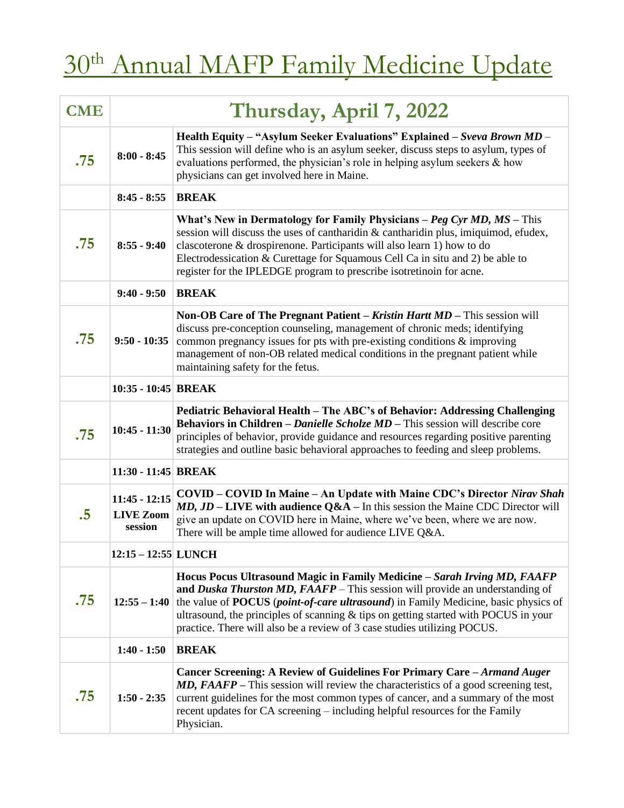## $30<sup>th</sup>$  Annual MAFP Family Medicine Update

| <b>CME</b> | Thursday, April 7, 2022                        |                                                                                                                                                                                                                                                                                                                                                                                                                                      |
|------------|------------------------------------------------|--------------------------------------------------------------------------------------------------------------------------------------------------------------------------------------------------------------------------------------------------------------------------------------------------------------------------------------------------------------------------------------------------------------------------------------|
| .75        | $8:00 - 8:45$                                  | Health Equity - "Asylum Seeker Evaluations" Explained - Sveva Brown MD -<br>This session will define who is an asylum seeker, discuss steps to asylum, types of<br>evaluations performed, the physician's role in helping asylum seekers & how<br>physicians can get involved here in Maine.                                                                                                                                         |
|            | $8:45 - 8:55$                                  | <b>BREAK</b>                                                                                                                                                                                                                                                                                                                                                                                                                         |
| .75        | $8:55 - 9:40$                                  | What's New in Dermatology for Family Physicians $-Peg Cyr MD$ , MS - This<br>session will discuss the uses of cantharidin & cantharidin plus, imiquimod, efudex,<br>clascoterone & drospirenone. Participants will also learn 1) how to do<br>Electrodessication & Curettage for Squamous Cell Ca in situ and 2) be able to<br>register for the IPLEDGE program to prescribe isotretinoin for acne.                                  |
|            | $9:40 - 9:50$                                  | <b>BREAK</b>                                                                                                                                                                                                                                                                                                                                                                                                                         |
| .75        | $9:50 - 10:35$                                 | Non-OB Care of The Pregnant Patient – Kristin Hartt MD – This session will<br>discuss pre-conception counseling, management of chronic meds; identifying<br>common pregnancy issues for pts with pre-existing conditions $\&$ improving<br>management of non-OB related medical conditions in the pregnant patient while<br>maintaining safety for the fetus.                                                                        |
|            | 10:35 - 10:45 BREAK                            |                                                                                                                                                                                                                                                                                                                                                                                                                                      |
| .75        | $10:45 - 11:30$                                | Pediatric Behavioral Health – The ABC's of Behavior: Addressing Challenging<br><b>Behaviors in Children</b> – <i>Danielle Scholze MD</i> – This session will describe core<br>principles of behavior, provide guidance and resources regarding positive parenting<br>strategies and outline basic behavioral approaches to feeding and sleep problems.                                                                               |
|            | 11:30 - 11:45 BREAK                            |                                                                                                                                                                                                                                                                                                                                                                                                                                      |
| $.5\,$     | $11:45 - 12:15$<br><b>LIVE Zoom</b><br>session | <b>COVID – COVID In Maine – An Update with Maine CDC's Director Nirav Shah</b><br>$MD$ , $JD$ – LIVE with audience Q&A – In this session the Maine CDC Director will<br>give an update on COVID here in Maine, where we've been, where we are now.<br>There will be ample time allowed for audience LIVE Q&A.                                                                                                                        |
|            | 12:15 - 12:55 LUNCH                            |                                                                                                                                                                                                                                                                                                                                                                                                                                      |
| .75        | $12:55 - 1:40$                                 | Hocus Pocus Ultrasound Magic in Family Medicine - Sarah Irving MD, FAAFP<br>and Duska Thurston MD, FAAFP - This session will provide an understanding of<br>the value of <b>POCUS</b> ( <i>point-of-care ultrasound</i> ) in Family Medicine, basic physics of<br>ultrasound, the principles of scanning $\&$ tips on getting started with POCUS in your<br>practice. There will also be a review of 3 case studies utilizing POCUS. |
|            | $1:40 - 1:50$                                  | <b>BREAK</b>                                                                                                                                                                                                                                                                                                                                                                                                                         |
| .75        | $1:50 - 2:35$                                  | Cancer Screening: A Review of Guidelines For Primary Care - Armand Auger<br><b>MD, FAAFP</b> – This session will review the characteristics of a good screening test,<br>current guidelines for the most common types of cancer, and a summary of the most<br>recent updates for CA screening - including helpful resources for the Family<br>Physician.                                                                             |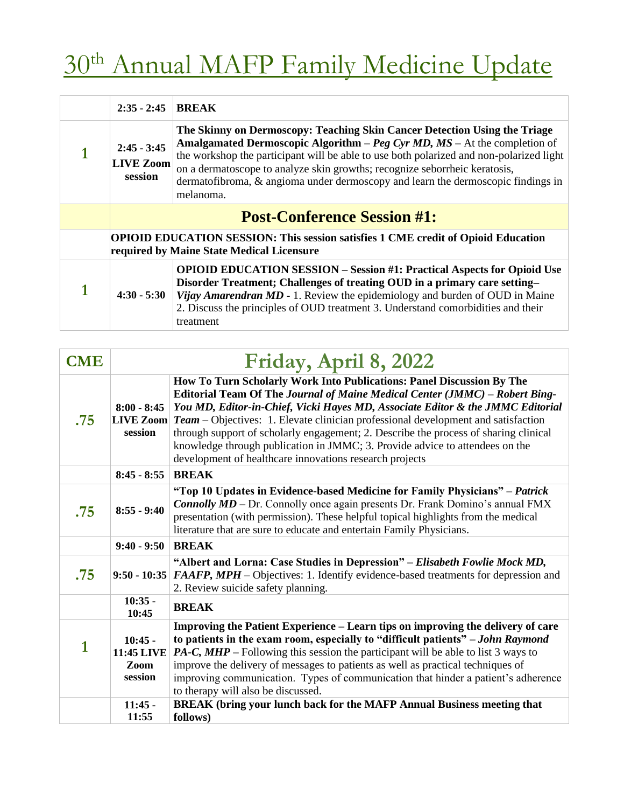## $30<sup>th</sup>$  Annual MAFP Family Medicine Update

| $2:35 - 2:45$                                                                                                                         | <b>BREAK</b>                                                                                                                                                                                                                                                                                                                                                                                                                            |
|---------------------------------------------------------------------------------------------------------------------------------------|-----------------------------------------------------------------------------------------------------------------------------------------------------------------------------------------------------------------------------------------------------------------------------------------------------------------------------------------------------------------------------------------------------------------------------------------|
| $2:45 - 3:45$<br><b>LIVE Zoom</b><br>session                                                                                          | The Skinny on Dermoscopy: Teaching Skin Cancer Detection Using the Triage<br><b>Amalgamated Dermoscopic Algorithm – Peg Cyr MD, MS – At the completion of</b><br>the workshop the participant will be able to use both polarized and non-polarized light<br>on a dermatoscope to analyze skin growths; recognize seborrheic keratosis,<br>dermatofibroma, & angioma under dermoscopy and learn the dermoscopic findings in<br>melanoma. |
| <b>Post-Conference Session #1:</b>                                                                                                    |                                                                                                                                                                                                                                                                                                                                                                                                                                         |
| <b>OPIOID EDUCATION SESSION: This session satisfies 1 CME credit of Opioid Education</b><br>required by Maine State Medical Licensure |                                                                                                                                                                                                                                                                                                                                                                                                                                         |
| $4:30 - 5:30$                                                                                                                         | <b>OPIOID EDUCATION SESSION – Session #1: Practical Aspects for Opioid Use</b><br>Disorder Treatment; Challenges of treating OUD in a primary care setting-<br><i>Vijay Amarendran MD - 1.</i> Review the epidemiology and burden of OUD in Maine<br>2. Discuss the principles of OUD treatment 3. Understand comorbidities and their<br>treatment                                                                                      |

| <b>CME</b> | Friday, April 8, 2022                             |                                                                                                                                                                                                                                                                                                                                                                                                                                                                                                                                                                                    |
|------------|---------------------------------------------------|------------------------------------------------------------------------------------------------------------------------------------------------------------------------------------------------------------------------------------------------------------------------------------------------------------------------------------------------------------------------------------------------------------------------------------------------------------------------------------------------------------------------------------------------------------------------------------|
| .75        | $8:00 - 8:45$<br>session                          | How To Turn Scholarly Work Into Publications: Panel Discussion By The<br>Editorial Team Of The Journal of Maine Medical Center (JMMC) – Robert Bing-<br>You MD, Editor-in-Chief, Vicki Hayes MD, Associate Editor & the JMMC Editorial<br><b>LIVE Zoom</b> $Team - Objectives: 1$ . Elevate clinician professional development and satisfaction<br>through support of scholarly engagement; 2. Describe the process of sharing clinical<br>knowledge through publication in JMMC; 3. Provide advice to attendees on the<br>development of healthcare innovations research projects |
|            | $8:45 - 8:55$                                     | <b>BREAK</b>                                                                                                                                                                                                                                                                                                                                                                                                                                                                                                                                                                       |
| .75        | $8:55 - 9:40$                                     | "Top 10 Updates in Evidence-based Medicine for Family Physicians" - Patrick<br><b>Connolly MD</b> – Dr. Connolly once again presents Dr. Frank Domino's annual FMX<br>presentation (with permission). These helpful topical highlights from the medical<br>literature that are sure to educate and entertain Family Physicians.                                                                                                                                                                                                                                                    |
|            | $9:40 - 9:50$                                     | <b>BREAK</b>                                                                                                                                                                                                                                                                                                                                                                                                                                                                                                                                                                       |
| .75        | $9:50 - 10:35$                                    | "Albert and Lorna: Case Studies in Depression" - Elisabeth Fowlie Mock MD,<br>FAAFP, MPH – Objectives: 1. Identify evidence-based treatments for depression and<br>2. Review suicide safety planning.                                                                                                                                                                                                                                                                                                                                                                              |
|            | $10:35 -$<br>10:45                                | <b>BREAK</b>                                                                                                                                                                                                                                                                                                                                                                                                                                                                                                                                                                       |
| 1          | $10:45 -$<br><b>11:45 LIVE</b><br>Zoom<br>session | Improving the Patient Experience – Learn tips on improving the delivery of care<br>to patients in the exam room, especially to "difficult patients" - John Raymond<br><b>PA-C, MHP</b> – Following this session the participant will be able to list 3 ways to<br>improve the delivery of messages to patients as well as practical techniques of<br>improving communication. Types of communication that hinder a patient's adherence<br>to therapy will also be discussed.                                                                                                       |
|            | $11:45 -$<br>11:55                                | BREAK (bring your lunch back for the MAFP Annual Business meeting that<br>follows)                                                                                                                                                                                                                                                                                                                                                                                                                                                                                                 |